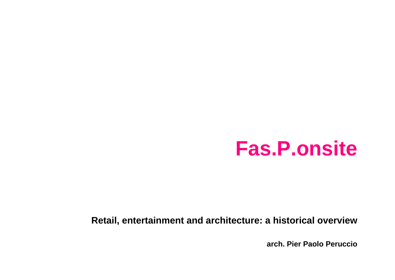# **Fas.P.onsite**

#### **Retail, entertainment and architecture: a historical overview**

**arch. Pier Paolo Peruccio**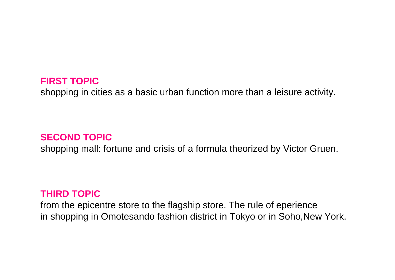#### **FIRST TOPIC**

shopping in cities as a basic urban function more than a leisure activity.

## **SECOND TOPIC**

shopping mall: fortune and crisis of a formula theorized by Victor Gruen.

#### **THIRD TOPIC**

from the epicentre store to the flagship store. The rule of eperience in shopping in Omotesando fashion district in Tokyo or in Soho,New York.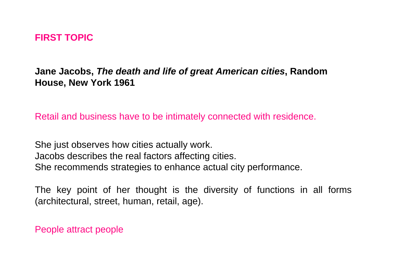## **FIRST TOPIC**

**Jane Jacobs,** *The death and life of great American cities***, Random House, New York 1961**

Retail and business have to be intimately connected with residence.

She just observes how cities actually work. Jacobs describes the real factors affecting cities. She recommends strategies to enhance actual city performance.

The key point of her thought is the diversity of functions in all forms (architectural, street, human, retail, age).

People attract people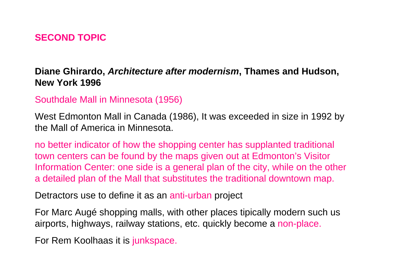# **SECOND TOPIC**

# **Diane Ghirardo,** *Architecture after modernism***, Thames and Hudson, New York 1996**

## Southdale Mall in Minnesota (1956)

West Edmonton Mall in Canada (1986), It was exceeded in size in 1992 by the Mall of America in Minnesota.

no better indicator of how the shopping center has supplanted traditional town centers can be found by the maps given out at Edmonton's Visitor Information Center: one side is a general plan of the city, while on the other a detailed plan of the Mall that substitutes the traditional downtown map.

Detractors use to define it as an anti-urban project

For Marc Augé shopping malls, with other places tipically modern such us airports, highways, railway stations, etc. quickly become a non-place.

For Rem Koolhaas it is junkspace.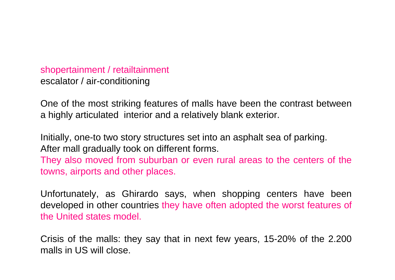shopertainment / retailtainment escalator / air-conditioning

One of the most striking features of malls have been the contrast between a highly articulated interior and a relatively blank exterior.

Initially, one-to two story structures set into an asphalt sea of parking. After mall gradually took on different forms. They also moved from suburban or even rural areas to the centers of the towns, airports and other places.

Unfortunately, as Ghirardo says, when shopping centers have been developed in other countries they have often adopted the worst features of the United states model.

Crisis of the malls: they say that in next few years, 15-20% of the 2.200 malls in US will close.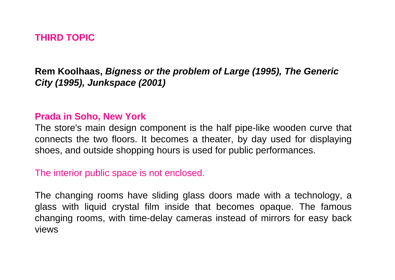# **THIRD TOPIC**

# **Rem Koolhaas,** *Bigness or the problem of Large (1995), The Generic City (1995), Junkspace (2001)*

#### **Prada in Soho, New York**

The store's main design component is the half pipe-like wooden curve that connects the two floors. It becomes a theater, by day used for displaying shoes, and outside shopping hours is used for public performances.

#### The interior public space is not enclosed.

The changing rooms have sliding glass doors made with a technology, a glass with liquid crystal film inside that becomes opaque. The famous changing rooms, with time-delay cameras instead of mirrors for easy back views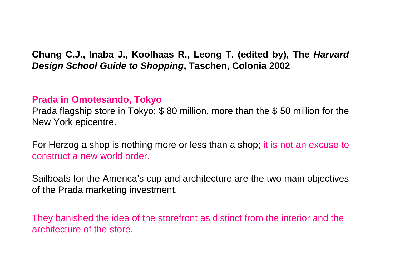**Chung C.J., Inaba J., Koolhaas R., Leong T. (edited by), The** *Harvard Design School Guide to Shopping***, Taschen, Colonia 2002**

# **Prada in Omotesando, Tokyo**

Prada flagship store in Tokyo: \$ 80 million, more than the \$ 50 million for the New York epicentre.

For Herzog a shop is nothing more or less than a shop; it is not an excuse to construct a new world order.

Sailboats for the America's cup and architecture are the two main objectives of the Prada marketing investment.

They banished the idea of the storefront as distinct from the interior and the architecture of the store.